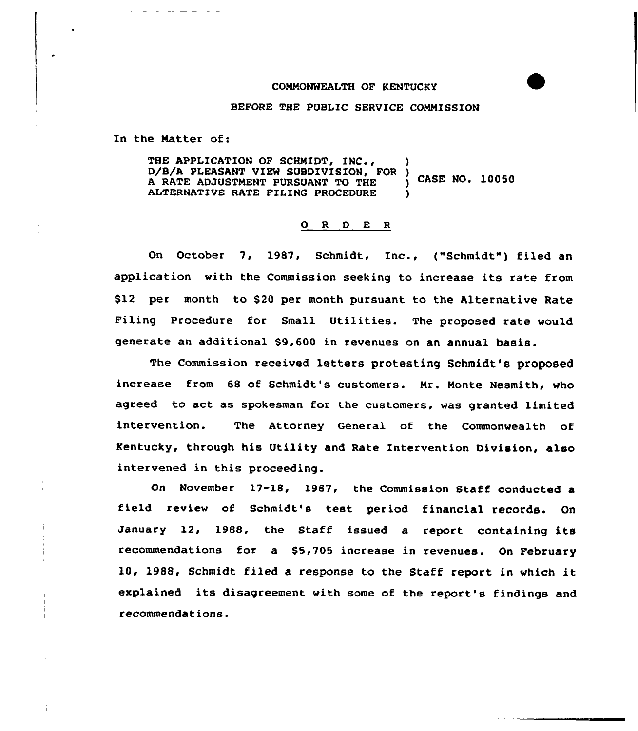#### COMMONWEALTH OF KENTUCKY

### BEFORE THE PUBLIC SERVICE COMMISSION

In the Matter of:

THE APPLICATION OF SCHMIDT, INC., D/B/A PLEASANT VIEW SUBDIVISION, FOR ) CASE NO. 10050 <sup>A</sup> RATE ADJUSTMENT PURSUANT TO THE ) ALTERNATIVE RATE FILING PROCEDURE

### 0 <sup>R</sup> <sup>D</sup> E <sup>R</sup>

On October 7, 1987, Schmidt, Inc., ("Schmidt") filed an application with the Commission seeking to increase its rate from \$12 per month to \$20 per month pursuant to the Alternative Rate Filing Procedure for Small Utilities. The proposed rate would generate an additional \$9,600 in revenues on an annual basis.

The Commission received letters protesting Schmidt's proposed increase from 68 of Schmidt's customers. Mr. Monte Nesmith, who agreed to act as spokesman for the customers, was granted limited intervention. The Attorney General of the Commonwealth of Kentucky, through his Utility and Rate Intervention Division, also intervened in this proceeding.

On November 17-18, 1987, the Commission Staff conducted a field review of Schmidt's test period financial records. On January 12, 1988, the Staff issued <sup>a</sup> report containing its recommendations for a \$5,705 increase in revenues. On February 10, 19&8, Schmidt filed <sup>a</sup> response to the Staff report in which it explained its disagreement with some of the report's findings and recommendations.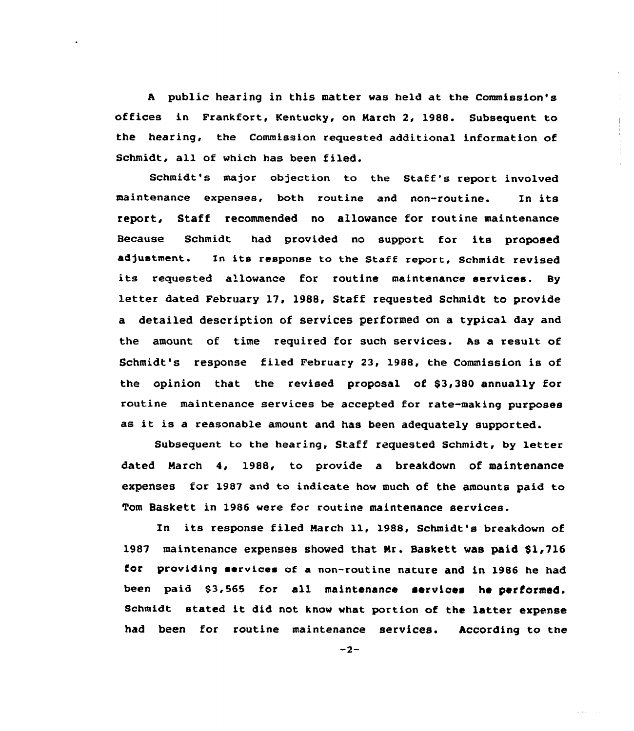<sup>A</sup> public hearing in this matter was held at the Commission's offices in Frankfort, Kentucky, on March 2, 1988. Subsequent to the hearing, the Commission requested additional information of Schmidt, all of which has been filed.

Schmidt's major objection to the Staff's report involved maintenance expenses, both routine and non-routine. In its report, Staff recommended no allowance for routine maintenance Because Schmidt had provided no support for its proposed adjustment. In its response to the Staff report, Schmidt revised its requested allowance for routine maintenance services. By letter dated February 17, 1988, Staff requested Schmidt to provide a detailed description of services performed on a typical day and the amount of time required for such services. As a result of Schmidt's response filed February 23, 1988, the Commission is of the opinion that the revised proposal of \$3,380 annually for routine maintenance services be accepted for rate-making purposes as it is <sup>a</sup> reasonable amount and has been adequately supported.

Subsequent to the hearing, Staff requested Schmidt, by letter dated March 4, 1988, to provide a breakdown of maintenance expenses for 1987 and to indicate how much of the amounts paid to Tom Baskett in 1986 were for routine maintenance services.

Xn its response filed March ll, 1988, Schmidt's breakdown of 1987 maintenance expenses showed that Mr. Baskett was paid \$1,716 for providing services of a non-routine nature and in 1986 he had been paid \$3,565 for all maintenance services he performed. Schmidt stated it did not know what portion of the latter expense had been for routine maintenance services. According to the

 $-2-$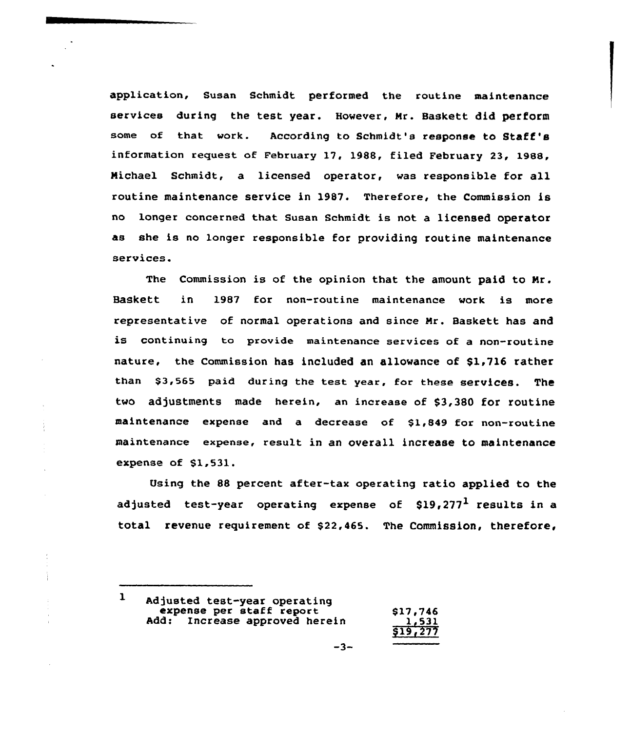application, Susan Schmidt performed the routine maintenance services during the test year. However, Nr. Baskett did perform some of that work. According to Schmidt's response to Staff's information request of February 17, 1988, filed February 23, 1988, Nichael Schmidt, a licensed operator, was responsible for all routine maintenance service in 1987. Therefore, the Commission is no longer concerned that susan Schmidt is not a licensed operator as she is no longer responsible for providing routine maintenance services.

The Commission is of the opinion that the amount paid to Nr. Baskett in 1987 for non-routine maintenance work is more representative of normal operations and since Nr. Baskett has and is continuing to provide maintenance services of a non-routine nature, the Commission has included an allowance of \$1,716 rather than \$3,565 paid during the test year, for these services. The two adjustments made herein, an increase of \$3,380 for routine maintenance expense and a decrease of \$1,849 for non-routine maintenance expense, result in an overall increase to maintenance expense of \$1,531.

Using the 88 percent after-tax operating ratio applied to the adjusted test-year operating expense of  $$19,277<sup>1</sup>$  results in a total revenue requirement of \$22,465. The Commission, therefore,

 $\mathbf{I}$ Adjusted test-year operating expense per staff report<br>
Add: Increase approved herein 1,531 <u>1,531</u><br>\$19,277

 $\bar{1}$ 

÷

 $\bar{a}$ 

$$
-3
$$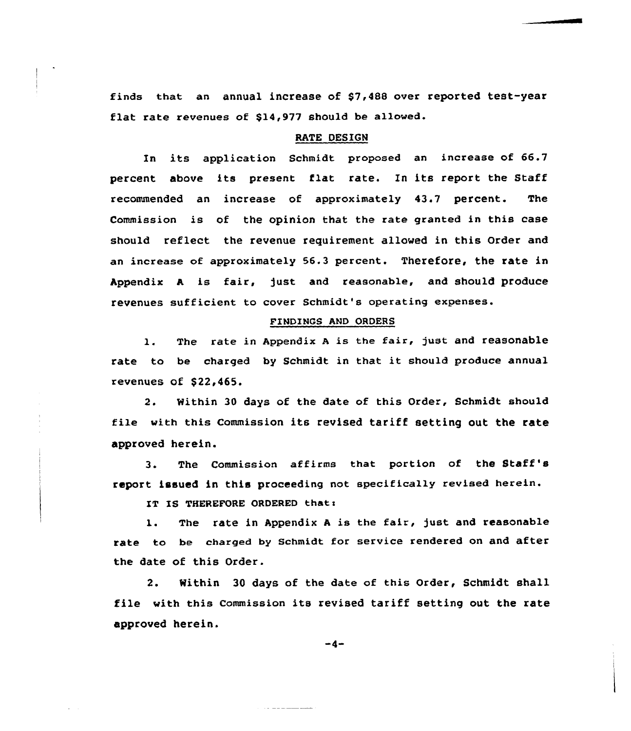finds that an annual increase of \$7,488 over reported test-year flat rate revenues of \$14,977 should be allowed.

## RATE DESIGN

In its application Schmidt proposed an increase of 66.7 percent above its present flat rate. In its report the Staff recommended an increase of approximately 43.7 percent. The Commission is of the opinion that the rate granted in this case should reflect the revenue requirement allowed in this Order and an increase of approximately 56.3 percent. Therefore, the rate in Appendix <sup>A</sup> is fair, just and reasonable, and should produce revenues sufficient to cover Schmidt's operating expenses.

### FINDINGS AND ORDERS

1. The rate in Appendix <sup>A</sup> is the fair, just and reasonable rate to be charged by Schmidt in that it should produce annual revenues of \$22,465.

2. Within 30 days of the date of this Order, Schmidt should file with this Commission its revised tariff setting out the rate approved herein.

3. The Commission affirms that portion of the Staff's report issued in this proceeding not specifically revised herein.

IT IS THEREFORE ORDERED that:

1. The rate in Appendix <sup>A</sup> is the fair, just and reasonable rate to be charged by Schmidt for service rendered on and after the date of this Order.

2. Within 30 days of the date of this Order, Schmidt shall file with this Commission its revised tariff setting out the rate approved herein.

 $-4-$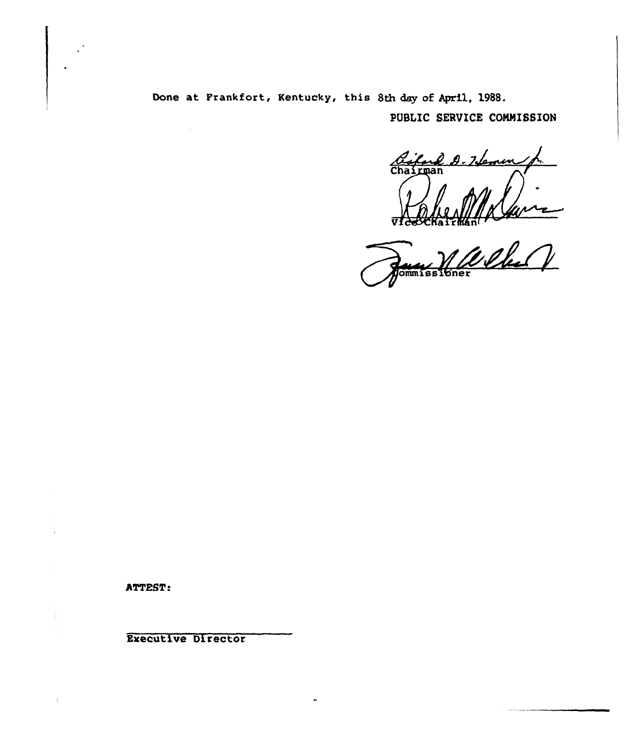Done at Frankfort, Kentucky, this 8th day of April, 1988.

PUBLIC SERVICE COMMISSION

2 D-7 Semin Chairman

RECEIVED **Jommissioner** 

ATTEST:

 $\overline{1}$ 

**Executive Director** 

 $\sim 10^7$